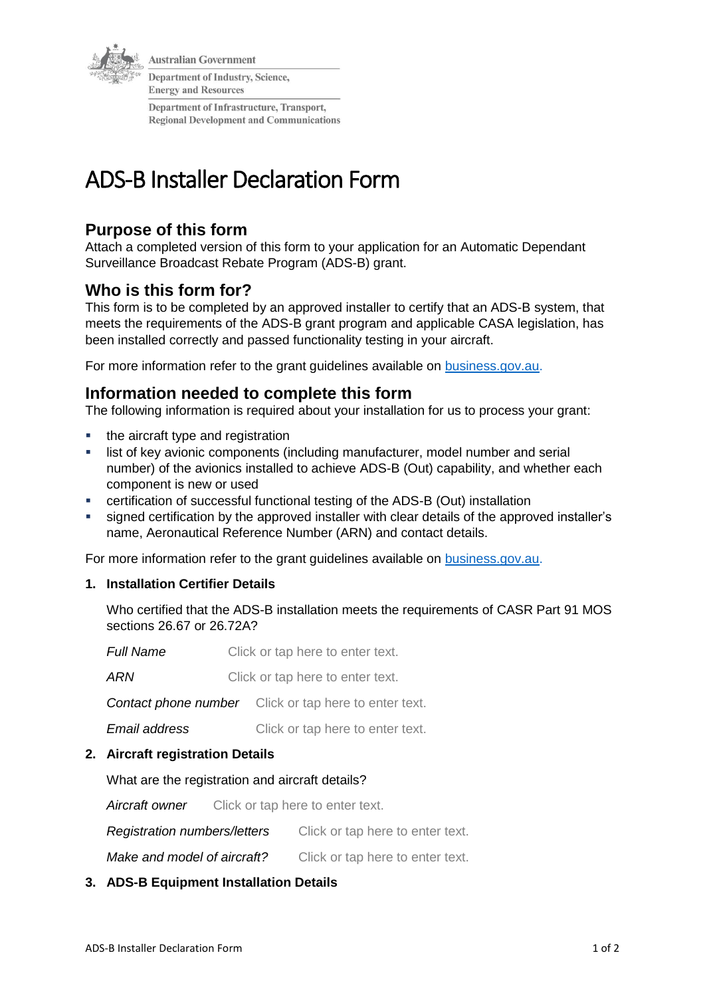

**Australian Government** 

Department of Industry, Science, **Energy and Resources** 

Department of Infrastructure, Transport, **Regional Development and Communications** 

# ADS-B Installer Declaration Form

# **Purpose of this form**

Attach a completed version of this form to your application for an Automatic Dependant Surveillance Broadcast Rebate Program (ADS-B) grant.

# **Who is this form for?**

This form is to be completed by an approved installer to certify that an ADS-B system, that meets the requirements of the ADS-B grant program and applicable CASA legislation, has been installed correctly and passed functionality testing in your aircraft.

For more information refer to the grant guidelines available on [business.gov.au.](https://business.gov.au/grants-and-programs/automatic-dependent-surveillance-broadcast-rebate-program#key-documents)

# **Information needed to complete this form**

The following information is required about your installation for us to process your grant:

- the aircraft type and registration
- list of key avionic components (including manufacturer, model number and serial number) of the avionics installed to achieve ADS-B (Out) capability, and whether each component is new or used
- certification of successful functional testing of the ADS-B (Out) installation
- signed certification by the approved installer with clear details of the approved installer's name, Aeronautical Reference Number (ARN) and contact details.

For more information refer to the grant guidelines available on [business.gov.au.](https://business.gov.au/grants-and-programs/automatic-dependent-surveillance-broadcast-rebate-program#key-documents)

# **1. Installation Certifier Details**

Who certified that the ADS-B installation meets the requirements of CASR Part 91 MOS sections 26.67 or 26.72A?

| <b>Full Name</b> | Click or tap here to enter text. |  |
|------------------|----------------------------------|--|
| ARN              | Click or tap here to enter text. |  |

*Contact phone number* Click or tap here to enter text.

*Email address* Click or tap here to enter text.

# **2. Aircraft registration Details**

What are the registration and aircraft details?

*Aircraft owner* Click or tap here to enter text.

*Registration numbers/letters* Click or tap here to enter text.

*Make and model of aircraft?* Click or tap here to enter text.

# **3. ADS-B Equipment Installation Details**